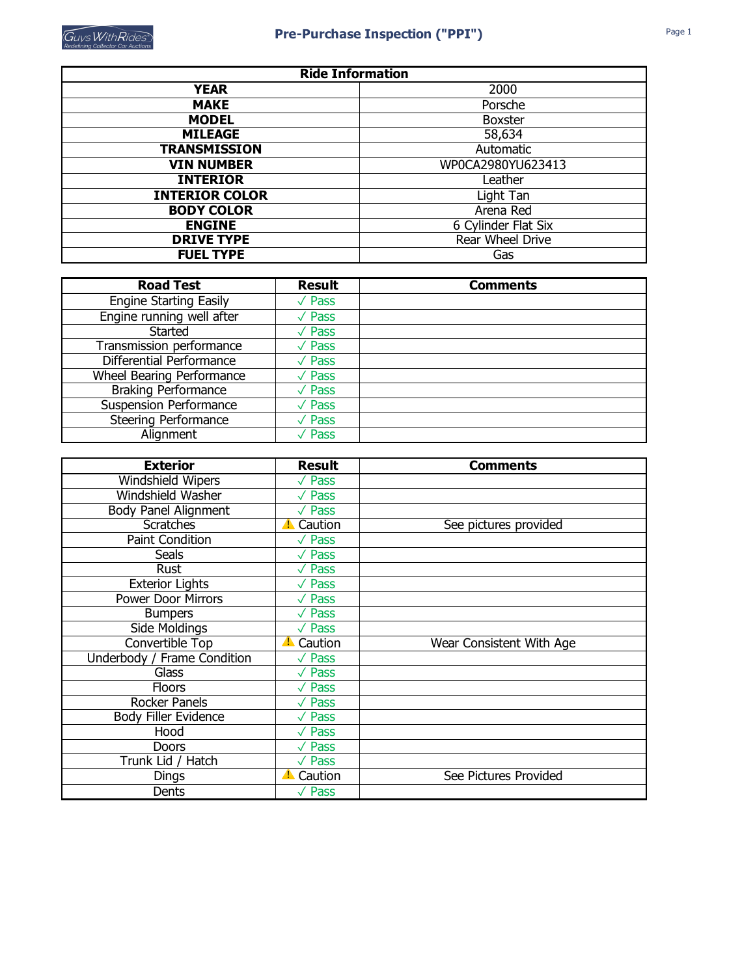| <b>Ride Information</b> |                     |  |  |  |
|-------------------------|---------------------|--|--|--|
| <b>YEAR</b>             | 2000                |  |  |  |
| <b>MAKE</b>             | Porsche             |  |  |  |
| <b>MODEL</b>            | <b>Boxster</b>      |  |  |  |
| <b>MILEAGE</b>          | 58,634              |  |  |  |
| <b>TRANSMISSION</b>     | Automatic           |  |  |  |
| <b>VIN NUMBER</b>       | WP0CA2980YU623413   |  |  |  |
| <b>INTERIOR</b>         | Leather             |  |  |  |
| <b>INTERIOR COLOR</b>   | Light Tan           |  |  |  |
| <b>BODY COLOR</b>       | Arena Red           |  |  |  |
| <b>ENGINE</b>           | 6 Cylinder Flat Six |  |  |  |
| <b>DRIVE TYPE</b>       | Rear Wheel Drive    |  |  |  |
| <b>FUEL TYPE</b>        | Gas                 |  |  |  |

| <b>Road Test</b>              | <b>Result</b>                | <b>Comments</b> |
|-------------------------------|------------------------------|-----------------|
| <b>Engine Starting Easily</b> | $\sqrt{\overline{P}}$ Pass   |                 |
| Engine running well after     | $\overline{\sqrt{\ } }$ Pass |                 |
| Started                       | $\sqrt{P}$ ass               |                 |
| Transmission performance      | $\sqrt{P}$ ass               |                 |
| Differential Performance      | $\sqrt{P}$ ass               |                 |
| Wheel Bearing Performance     | $\sqrt{P}$ ass               |                 |
| <b>Braking Performance</b>    | $\sqrt{\mathsf{Pass}}$       |                 |
| <b>Suspension Performance</b> | $\sqrt{P}$ ass               |                 |
| <b>Steering Performance</b>   | $\sqrt{P}$ ass               |                 |
| Alignment                     | $\sqrt{P}$ ass               |                 |

| <b>Exterior</b>                    | <b>Result</b>          | <b>Comments</b>          |
|------------------------------------|------------------------|--------------------------|
| Windshield Wipers                  | $\sqrt{P}$ ass         |                          |
| Windshield Washer                  | $\sqrt{P}$ ass         |                          |
| <b>Body Panel Alignment</b>        | $\sqrt{P}$ ass         |                          |
| <b>Scratches</b>                   | <b>A</b> Caution       | See pictures provided    |
| Paint Condition                    | $\sqrt{\mathsf{Pass}}$ |                          |
| <b>Seals</b>                       | $\sqrt{P}$ ass         |                          |
| Rust                               | $\sqrt{\mathsf{Pass}}$ |                          |
| <b>Exterior Lights</b>             | $\sqrt{}$ Pass         |                          |
| <b>Power Door Mirrors</b>          | $\sqrt{P}$ ass         |                          |
| <b>Bumpers</b>                     | $\sqrt{P}$ ass         |                          |
| Side Moldings                      | $\sqrt{P}$ ass         |                          |
| Convertible Top                    | <b>A</b> Caution       | Wear Consistent With Age |
| <b>Underbody / Frame Condition</b> | $\sqrt{P}$ ass         |                          |
| <b>Glass</b>                       | $\sqrt{P}$ ass         |                          |
| <b>Floors</b>                      | $\sqrt{P}$ ass         |                          |
| Rocker Panels                      | $\sqrt{P}$ ass         |                          |
| <b>Body Filler Evidence</b>        | $\sqrt{P}$ ass         |                          |
| Hood                               | $\sqrt{P}$ ass         |                          |
| <b>Doors</b>                       | $\sqrt{P}$ ass         |                          |
| Trunk Lid / Hatch                  | $\sqrt{P}$ ass         |                          |
| Dings                              | <b>A</b> Caution       | See Pictures Provided    |
| Dents                              | $\sqrt{P}$ ass         |                          |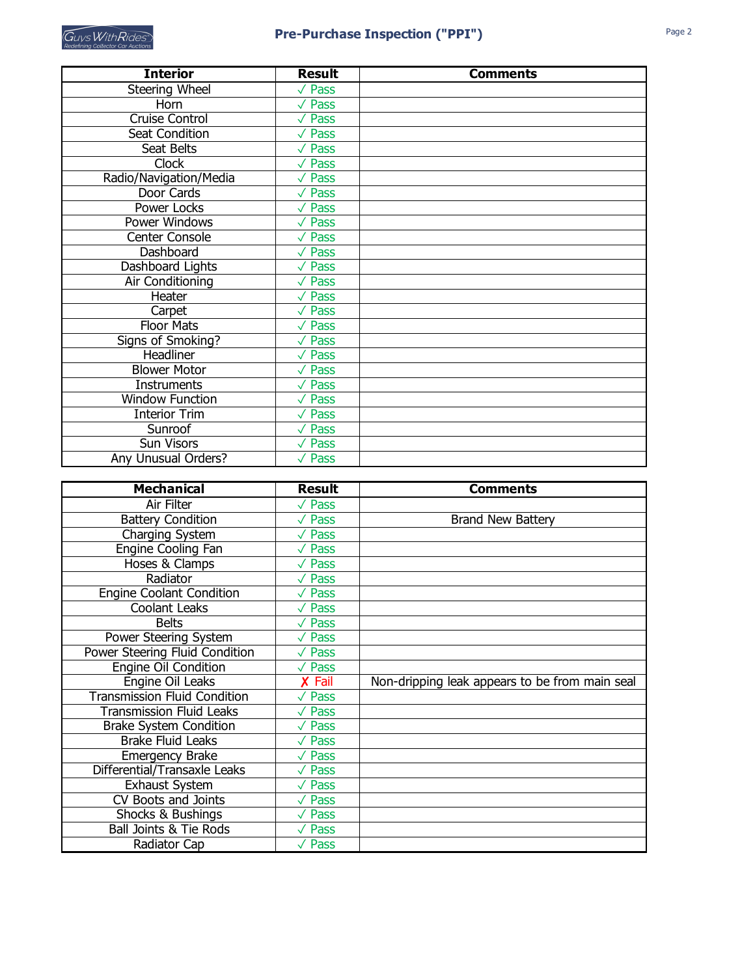| <b>Interior</b>        | <b>Result</b>               | <b>Comments</b> |
|------------------------|-----------------------------|-----------------|
| Steering Wheel         | $\overline{\sqrt{\ }}$ Pass |                 |
| Horn                   | $\sqrt{P}$ ass              |                 |
| <b>Cruise Control</b>  | $\sqrt{P}$ ass              |                 |
| Seat Condition         | $\sqrt{P}$ ass              |                 |
| Seat Belts             | $\sqrt{P}$ ass              |                 |
| <b>Clock</b>           | $\sqrt{P}$ ass              |                 |
| Radio/Navigation/Media | $\sqrt{P}$ ass              |                 |
| Door Cards             | $\sqrt{P}$ ass              |                 |
| <b>Power Locks</b>     | $\sqrt{P}$ ass              |                 |
| <b>Power Windows</b>   | $\sqrt{P}$ ass              |                 |
| <b>Center Console</b>  | $\sqrt{P}$ ass              |                 |
| Dashboard              | $\sqrt{P}$ ass              |                 |
| Dashboard Lights       | $\sqrt{P}$ ass              |                 |
| Air Conditioning       | $\sqrt{P}$ ass              |                 |
| Heater                 | $\sqrt{P}$ ass              |                 |
| Carpet                 | $\sqrt{P}$ ass              |                 |
| <b>Floor Mats</b>      | $\sqrt{P}$ ass              |                 |
| Signs of Smoking?      | $\sqrt{P}$ ass              |                 |
| Headliner              | $\sqrt{P}$ ass              |                 |
| <b>Blower Motor</b>    | $\sqrt{P}$ ass              |                 |
| <b>Instruments</b>     | $\sqrt{P}$ ass              |                 |
| <b>Window Function</b> | $\overline{\sqrt{\ }}$ Pass |                 |
| <b>Interior Trim</b>   | $\sqrt{P}$ ass              |                 |
| Sunroof                | $\sqrt{P}$ ass              |                 |
| Sun Visors             | $\sqrt{P}$ ass              |                 |
| Any Unusual Orders?    | $\sqrt{P}$ ass              |                 |

| <b>Mechanical</b>                   | <b>Result</b>          | <b>Comments</b>                                |
|-------------------------------------|------------------------|------------------------------------------------|
| <b>Air Filter</b>                   | $\sqrt{P}$ ass         |                                                |
| <b>Battery Condition</b>            | $\sqrt{P}$ ass         | <b>Brand New Battery</b>                       |
| Charging System                     | $\sqrt{P}$ ass         |                                                |
| <b>Engine Cooling Fan</b>           | $\sqrt{P}$ ass         |                                                |
| Hoses & Clamps                      | $\sqrt{\mathsf{Pass}}$ |                                                |
| Radiator                            | $\sqrt{P}$ ass         |                                                |
| <b>Engine Coolant Condition</b>     | $\sqrt{P}$ ass         |                                                |
| <b>Coolant Leaks</b>                | $\sqrt{\mathsf{Pass}}$ |                                                |
| <b>Belts</b>                        | $\sqrt{P}$ ass         |                                                |
| Power Steering System               | $\sqrt{P}$ ass         |                                                |
| Power Steering Fluid Condition      | $\sqrt{P}$ ass         |                                                |
| Engine Oil Condition                | $\sqrt{P}$ ass         |                                                |
| Engine Oil Leaks                    | X Fail                 | Non-dripping leak appears to be from main seal |
| <b>Transmission Fluid Condition</b> | $\sqrt{P}$ ass         |                                                |
| <b>Transmission Fluid Leaks</b>     | $\sqrt{P}$ ass         |                                                |
| <b>Brake System Condition</b>       | $\sqrt{P}$ ass         |                                                |
| <b>Brake Fluid Leaks</b>            | $\sqrt{P}$ ass         |                                                |
| <b>Emergency Brake</b>              | $\sqrt{P}$ ass         |                                                |
| Differential/Transaxle Leaks        | $\sqrt{P}$ ass         |                                                |
| <b>Exhaust System</b>               | $\sqrt{P}$ ass         |                                                |
| CV Boots and Joints                 | $\sqrt{P}$ ass         |                                                |
| Shocks & Bushings                   | $\sqrt{P}$ ass         |                                                |
| <b>Ball Joints &amp; Tie Rods</b>   | $\sqrt{P}$ ass         |                                                |
| Radiator Cap                        | $\sqrt{P}$ ass         |                                                |